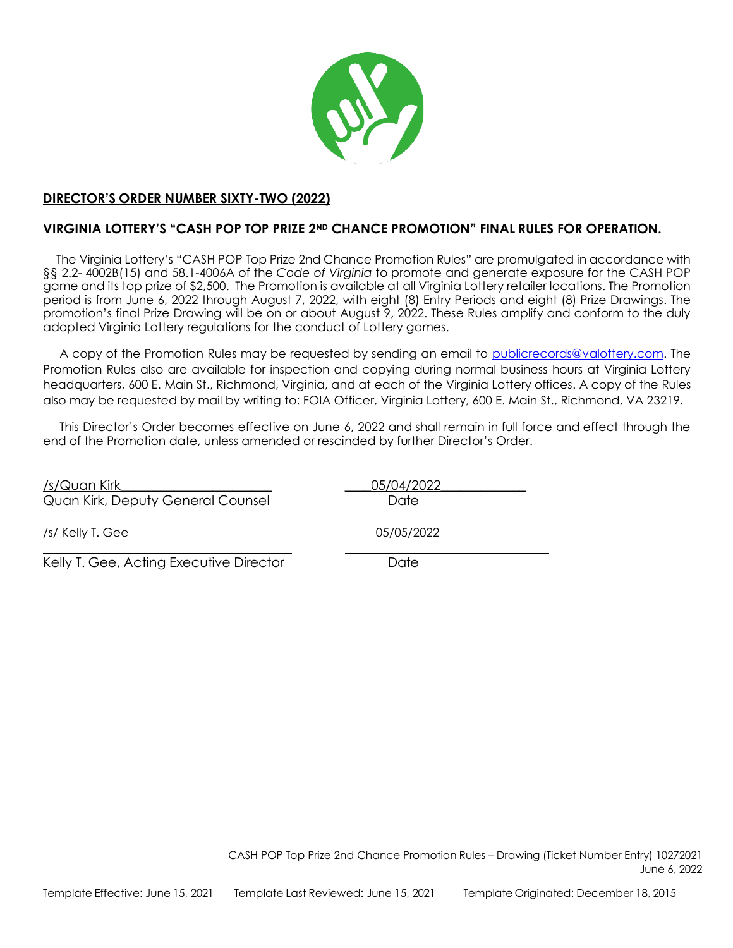

# **DIRECTOR'S ORDER NUMBER SIXTY-TWO (2022)**

# **VIRGINIA LOTTERY'S "CASH POP TOP PRIZE 2ND CHANCE PROMOTION" FINAL RULES FOR OPERATION.**

The Virginia Lottery's "CASH POP Top Prize 2nd Chance Promotion Rules" are promulgated in accordance with §§ 2.2- 4002B(15) and 58.1-4006A of the *Code of Virginia* to promote and generate exposure for the CASH POP game and its top prize of \$2,500. The Promotion is available at all Virginia Lottery retailer locations. The Promotion period is from June 6, 2022 through August 7, 2022, with eight (8) Entry Periods and eight (8) Prize Drawings. The promotion's final Prize Drawing will be on or about August 9, 2022. These Rules amplify and conform to the duly adopted Virginia Lottery regulations for the conduct of Lottery games.

A copy of the Promotion Rules may be requested by sending an email to [publicrecords@valottery.com. T](mailto:publicrecords@valottery.com)he Promotion Rules also are available for inspection and copying during normal business hours at Virginia Lottery headquarters, 600 E. Main St., Richmond, Virginia, and at each of the Virginia Lottery offices. A copy of the Rules also may be requested by mail by writing to: FOIA Officer, Virginia Lottery, 600 E. Main St., Richmond, VA 23219.

This Director's Order becomes effective on June 6, 2022 and shall remain in full force and effect through the end of the Promotion date, unless amended or rescinded by further Director's Order.

| /s/Quan Kirk<br>Quan Kirk, Deputy General Counsel | 05/04/2022<br>Date |
|---------------------------------------------------|--------------------|
| /s/ Kelly T. Gee                                  | 05/05/2022         |
| Kelly T. Gee, Acting Executive Director           | Date               |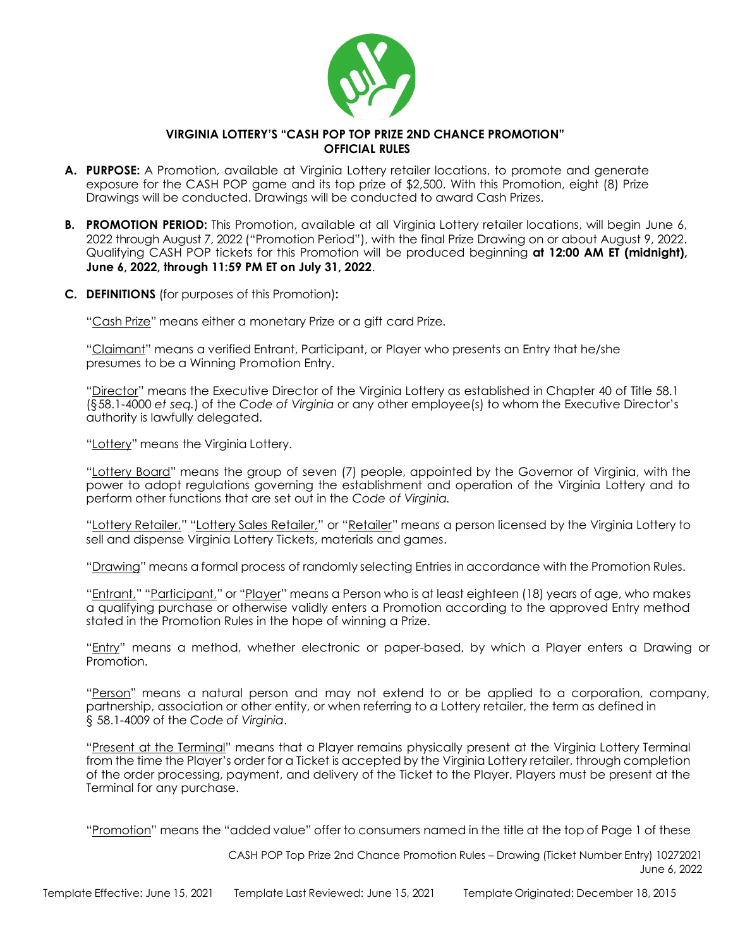

# **VIRGINIA LOTTERY'S "CASH POP TOP PRIZE 2ND CHANCE PROMOTION" OFFICIAL RULES**

- **A. PURPOSE:** A Promotion, available at Virginia Lottery retailer locations, to promote and generate exposure for the CASH POP game and its top prize of \$2,500. With this Promotion, eight (8) Prize Drawings will be conducted. Drawings will be conducted to award Cash Prizes.
- **B. PROMOTION PERIOD:** This Promotion, available at all Virginia Lottery retailer locations, will begin June 6, 2022 through August 7, 2022 ("Promotion Period"), with the final Prize Drawing on or about August 9, 2022. Qualifying CASH POP tickets for this Promotion will be produced beginning **at 12:00 AM ET (midnight), June 6, 2022, through 11:59 PM ET on July 31, 2022**.
- **C. DEFINITIONS** (for purposes of this Promotion)**:**

"Cash Prize" means either a monetary Prize or a gift card Prize.

"Claimant" means a verified Entrant, Participant, or Player who presents an Entry that he/she presumes to be a Winning Promotion Entry.

"Director" means the Executive Director of the Virginia Lottery as established in Chapter 40 of Title 58.1 (§58.1-4000 *et seq.*) of the *Code of Virginia* or any other employee(s) to whom the Executive Director's authority is lawfully delegated.

"Lottery" means the Virginia Lottery.

"Lottery Board" means the group of seven (7) people, appointed by the Governor of Virginia, with the power to adopt regulations governing the establishment and operation of the Virginia Lottery and to perform other functions that are set out in the *Code of Virginia.*

"Lottery Retailer," "Lottery Sales Retailer," or "Retailer" means a person licensed by the Virginia Lottery to sell and dispense Virginia Lottery Tickets, materials and games.

"Drawing" means a formal process of randomly selecting Entries in accordance with the Promotion Rules.

"Entrant," "Participant," or "Player" means a Person who is at least eighteen (18) years of age, who makes a qualifying purchase or otherwise validly enters a Promotion according to the approved Entry method stated in the Promotion Rules in the hope of winning a Prize.

"Entry" means a method, whether electronic or paper-based, by which a Player enters a Drawing or Promotion.

"Person" means a natural person and may not extend to or be applied to a corporation, company, partnership, association or other entity, or when referring to a Lottery retailer, the term as defined in § 58.1-4009 of the *Code of Virginia*.

"Present at the Terminal" means that a Player remains physically present at the Virginia Lottery Terminal from the time the Player's order for a Ticket is accepted by the Virginia Lottery retailer, through completion of the order processing, payment, and delivery of the Ticket to the Player. Players must be present at the Terminal for any purchase.

"Promotion" means the "added value" offer to consumers named in the title at the top of Page 1 of these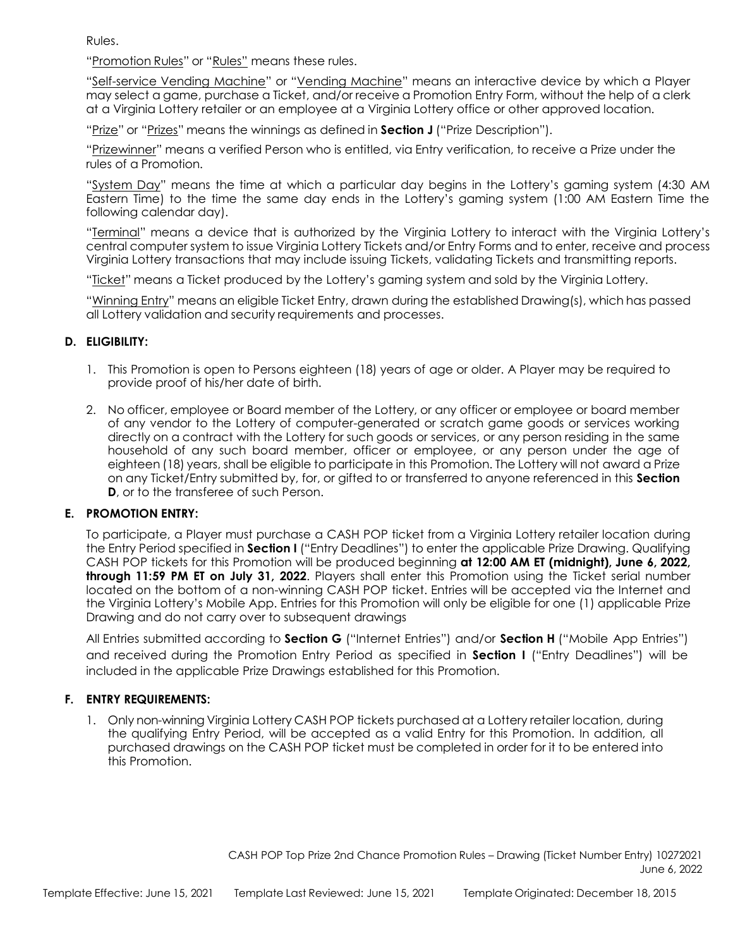Rules.

"Promotion Rules" or "Rules" means these rules.

"Self-service Vending Machine" or "Vending Machine" means an interactive device by which a Player may select a game, purchase a Ticket, and/or receive a Promotion Entry Form, without the help of a clerk at a Virginia Lottery retailer or an employee at a Virginia Lottery office or other approved location.

"Prize" or "Prizes" means the winnings as defined in **Section J** ("Prize Description").

"Prizewinner" means a verified Person who is entitled, via Entry verification, to receive a Prize under the rules of a Promotion.

"System Day" means the time at which a particular day begins in the Lottery's gaming system (4:30 AM Eastern Time) to the time the same day ends in the Lottery's gaming system (1:00 AM Eastern Time the following calendar day).

"Terminal" means a device that is authorized by the Virginia Lottery to interact with the Virginia Lottery's central computer system to issue Virginia Lottery Tickets and/or Entry Forms and to enter, receive and process Virginia Lottery transactions that may include issuing Tickets, validating Tickets and transmitting reports.

"Ticket" means a Ticket produced by the Lottery's gaming system and sold by the Virginia Lottery.

"Winning Entry" means an eligible Ticket Entry, drawn during the established Drawing(s), which has passed all Lottery validation and security requirements and processes.

## **D. ELIGIBILITY:**

- 1. This Promotion is open to Persons eighteen (18) years of age or older. A Player may be required to provide proof of his/her date of birth.
- 2. No officer, employee or Board member of the Lottery, or any officer or employee or board member of any vendor to the Lottery of computer-generated or scratch game goods or services working directly on a contract with the Lottery for such goods or services, or any person residing in the same household of any such board member, officer or employee, or any person under the age of eighteen (18) years, shall be eligible to participate in this Promotion. The Lottery will not award a Prize on any Ticket/Entry submitted by, for, or gifted to or transferred to anyone referenced in this **Section D**, or to the transferee of such Person.

## **E. PROMOTION ENTRY:**

To participate, a Player must purchase a CASH POP ticket from a Virginia Lottery retailer location during the Entry Period specified in **Section I** ("Entry Deadlines") to enter the applicable Prize Drawing. Qualifying CASH POP tickets for this Promotion will be produced beginning **at 12:00 AM ET (midnight), June 6, 2022, through 11:59 PM ET on July 31, 2022**. Players shall enter this Promotion using the Ticket serial number located on the bottom of a non-winning CASH POP ticket. Entries will be accepted via the Internet and the Virginia Lottery's Mobile App. Entries for this Promotion will only be eligible for one (1) applicable Prize Drawing and do not carry over to subsequent drawings

All Entries submitted according to **Section G** ("Internet Entries") and/or **Section H** ("Mobile App Entries") and received during the Promotion Entry Period as specified in **Section I** ("Entry Deadlines") will be included in the applicable Prize Drawings established for this Promotion.

## **F. ENTRY REQUIREMENTS:**

1. Only non-winning Virginia Lottery CASH POP tickets purchased at a Lottery retailer location, during the qualifying Entry Period, will be accepted as a valid Entry for this Promotion. In addition, all purchased drawings on the CASH POP ticket must be completed in order for it to be entered into this Promotion.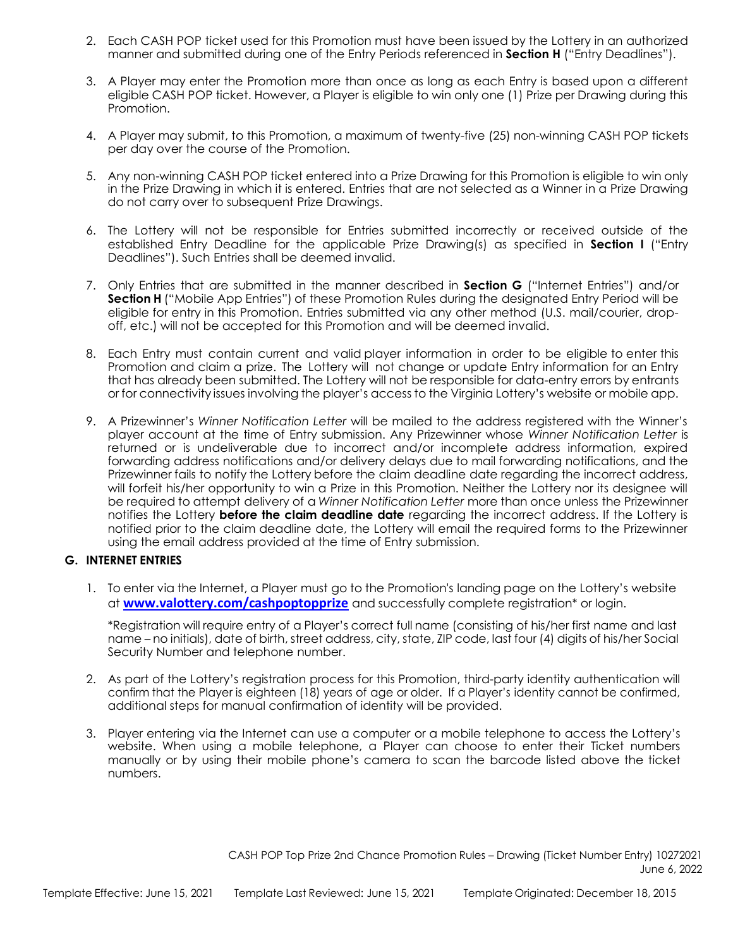- 2. Each CASH POP ticket used for this Promotion must have been issued by the Lottery in an authorized manner and submitted during one of the Entry Periods referenced in **Section H** ("Entry Deadlines").
- 3. A Player may enter the Promotion more than once as long as each Entry is based upon a different eligible CASH POP ticket. However, a Player is eligible to win only one (1) Prize per Drawing during this Promotion.
- 4. A Player may submit, to this Promotion, a maximum of twenty-five (25) non-winning CASH POP tickets per day over the course of the Promotion.
- 5. Any non-winning CASH POP ticket entered into a Prize Drawing for this Promotion is eligible to win only in the Prize Drawing in which it is entered. Entries that are not selected as a Winner in a Prize Drawing do not carry over to subsequent Prize Drawings.
- 6. The Lottery will not be responsible for Entries submitted incorrectly or received outside of the established Entry Deadline for the applicable Prize Drawing(s) as specified in **Section I** ("Entry Deadlines"). Such Entries shall be deemed invalid.
- 7. Only Entries that are submitted in the manner described in **Section G** ("Internet Entries") and/or **Section H** ("Mobile App Entries") of these Promotion Rules during the designated Entry Period will be eligible for entry in this Promotion. Entries submitted via any other method (U.S. mail/courier, dropoff, etc.) will not be accepted for this Promotion and will be deemed invalid.
- 8. Each Entry must contain current and valid player information in order to be eligible to enter this Promotion and claim a prize. The Lottery will not change or update Entry information for an Entry that has already been submitted. The Lottery will not be responsible for data-entry errors by entrants or for connectivity issues involving the player's access to the Virginia Lottery's website or mobile app.
- 9. A Prizewinner's *Winner Notification Letter* will be mailed to the address registered with the Winner's player account at the time of Entry submission. Any Prizewinner whose *Winner Notification Letter* is returned or is undeliverable due to incorrect and/or incomplete address information, expired forwarding address notifications and/or delivery delays due to mail forwarding notifications, and the Prizewinner fails to notify the Lottery before the claim deadline date regarding the incorrect address, will forfeit his/her opportunity to win a Prize in this Promotion. Neither the Lottery nor its designee will be required to attempt delivery of a *Winner Notification Letter* more than once unless the Prizewinner notifies the Lottery **before the claim deadline date** regarding the incorrect address. If the Lottery is notified prior to the claim deadline date, the Lottery will email the required forms to the Prizewinner using the email address provided at the time of Entry submission.

# **G. INTERNET ENTRIES**

1. To enter via the Internet, a Player must go to the Promotion's landing page on the Lottery's website at **[www.valottery.com/cashpoptopprize](http://www.valottery.com/cashpoptopprize)** and successfully complete registration\* or login.

\*Registration will require entry of a Player's correct full name (consisting of his/her first name and last name – no initials), date of birth, street address, city, state, ZIP code, last four (4) digits of his/her Social Security Number and telephone number.

- 2. As part of the Lottery's registration process for this Promotion, third-party identity authentication will confirm that the Player is eighteen (18) years of age or older. If a Player's identity cannot be confirmed, additional steps for manual confirmation of identity will be provided.
- 3. Player entering via the Internet can use a computer or a mobile telephone to access the Lottery's website. When using a mobile telephone, a Player can choose to enter their Ticket numbers manually or by using their mobile phone's camera to scan the barcode listed above the ticket numbers.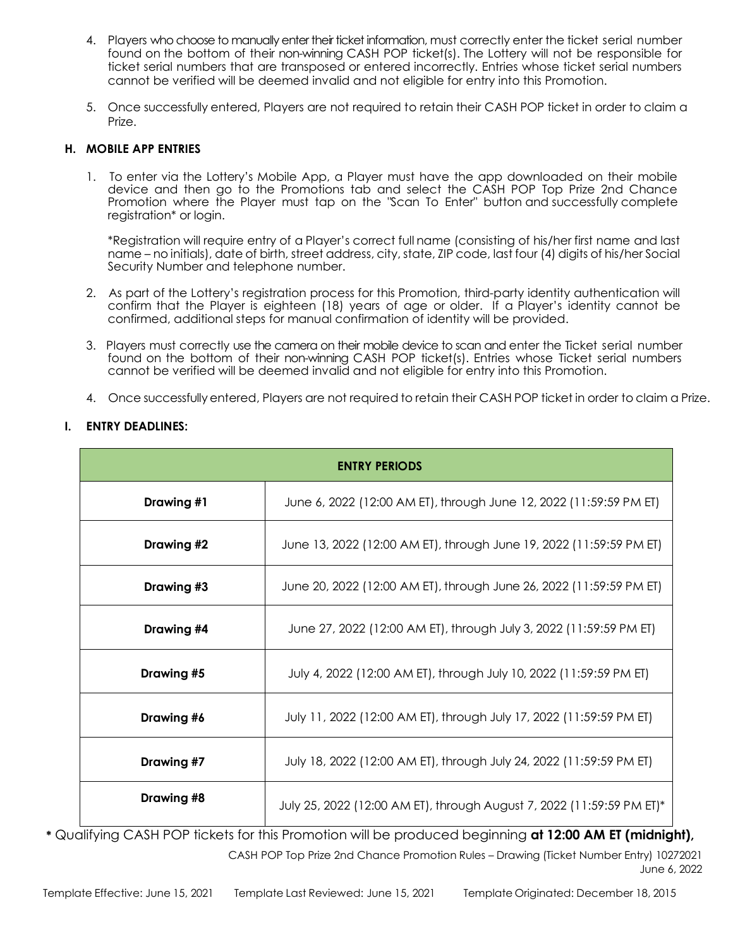- 4. Players who choose to manually enter their ticket information, must correctly enter the ticket serial number found on the bottom of their non-winning CASH POP ticket(s). The Lottery will not be responsible for ticket serial numbers that are transposed or entered incorrectly. Entries whose ticket serial numbers cannot be verified will be deemed invalid and not eligible for entry into this Promotion.
- 5. Once successfully entered, Players are not required to retain their CASH POP ticket in order to claim a Prize.

# **H. MOBILE APP ENTRIES**

1. To enter via the Lottery's Mobile App, a Player must have the app downloaded on their mobile device and then go to the Promotions tab and select the CASH POP Top Prize 2nd Chance Promotion where the Player must tap on the "Scan To Enter" button and successfully complete registration\* or login.

\*Registration will require entry of a Player's correct full name (consisting of his/her first name and last name – no initials), date of birth, street address, city, state, ZIP code, last four (4) digits of his/her Social Security Number and telephone number.

- 2. As part of the Lottery's registration process for this Promotion, third-party identity authentication will confirm that the Player is eighteen (18) years of age or older. If a Player's identity cannot be confirmed, additional steps for manual confirmation of identity will be provided.
- 3. Players must correctly use the camera on their mobile device to scan and enter the Ticket serial number found on the bottom of their non-winning CASH POP ticket(s). Entries whose Ticket serial numbers cannot be verified will be deemed invalid and not eligible for entry into this Promotion.
- 4. Once successfully entered, Players are not required to retain their CASH POP ticket in order to claim a Prize.

## **I. ENTRY DEADLINES:**

| <b>ENTRY PERIODS</b> |                                                                       |  |
|----------------------|-----------------------------------------------------------------------|--|
| Drawing #1           | June 6, 2022 (12:00 AM ET), through June 12, 2022 (11:59:59 PM ET)    |  |
| Drawing #2           | June 13, 2022 (12:00 AM ET), through June 19, 2022 (11:59:59 PM ET)   |  |
| Drawing #3           | June 20, 2022 (12:00 AM ET), through June 26, 2022 (11:59:59 PM ET)   |  |
| Drawing #4           | June 27, 2022 (12:00 AM ET), through July 3, 2022 (11:59:59 PM ET)    |  |
| Drawing #5           | July 4, 2022 (12:00 AM ET), through July 10, 2022 (11:59:59 PM ET)    |  |
| Drawing #6           | July 11, 2022 (12:00 AM ET), through July 17, 2022 (11:59:59 PM ET)   |  |
| Drawing #7           | July 18, 2022 (12:00 AM ET), through July 24, 2022 (11:59:59 PM ET)   |  |
| Drawing #8           | July 25, 2022 (12:00 AM ET), through August 7, 2022 (11:59:59 PM ET)* |  |

CASH POP Top Prize 2nd Chance Promotion Rules – Drawing (Ticket Number Entry) 10272021 June 6, 2022 **\*** Qualifying CASH POP tickets for this Promotion will be produced beginning **at 12:00 AM ET (midnight),**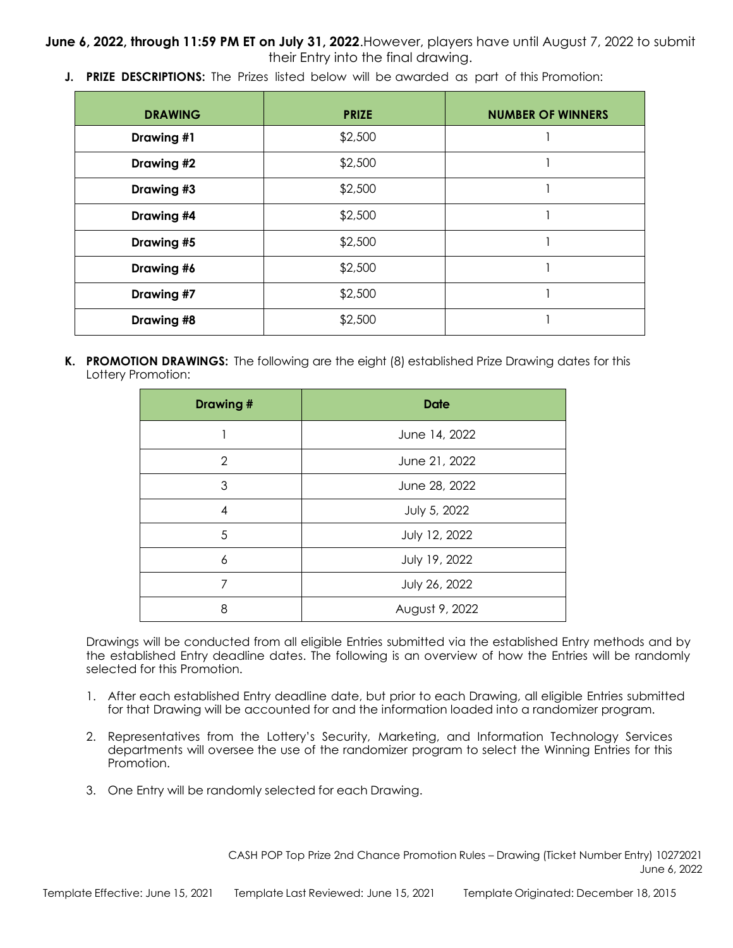**June 6, 2022, through 11:59 PM ET on July 31, 2022**.However, players have until August 7, 2022 to submit their Entry into the final drawing.

**J. PRIZE DESCRIPTIONS:** The Prizes listed below will be awarded as part of this Promotion:

| <b>DRAWING</b> | <b>PRIZE</b> | <b>NUMBER OF WINNERS</b> |
|----------------|--------------|--------------------------|
| Drawing #1     | \$2,500      |                          |
| Drawing #2     | \$2,500      |                          |
| Drawing #3     | \$2,500      |                          |
| Drawing #4     | \$2,500      |                          |
| Drawing #5     | \$2,500      |                          |
| Drawing #6     | \$2,500      |                          |
| Drawing #7     | \$2,500      |                          |
| Drawing #8     | \$2,500      |                          |

**K. PROMOTION DRAWINGS:** The following are the eight (8) established Prize Drawing dates for this Lottery Promotion:

| <b>Drawing#</b> | <b>Date</b>    |
|-----------------|----------------|
|                 | June 14, 2022  |
| 2               | June 21, 2022  |
| 3               | June 28, 2022  |
| 4               | July 5, 2022   |
| 5               | July 12, 2022  |
| 6               | July 19, 2022  |
| 7               | July 26, 2022  |
| 8               | August 9, 2022 |

Drawings will be conducted from all eligible Entries submitted via the established Entry methods and by the established Entry deadline dates. The following is an overview of how the Entries will be randomly selected for this Promotion.

- 1. After each established Entry deadline date, but prior to each Drawing, all eligible Entries submitted for that Drawing will be accounted for and the information loaded into a randomizer program.
- 2. Representatives from the Lottery's Security, Marketing, and Information Technology Services departments will oversee the use of the randomizer program to select the Winning Entries for this Promotion.
- 3. One Entry will be randomly selected for each Drawing.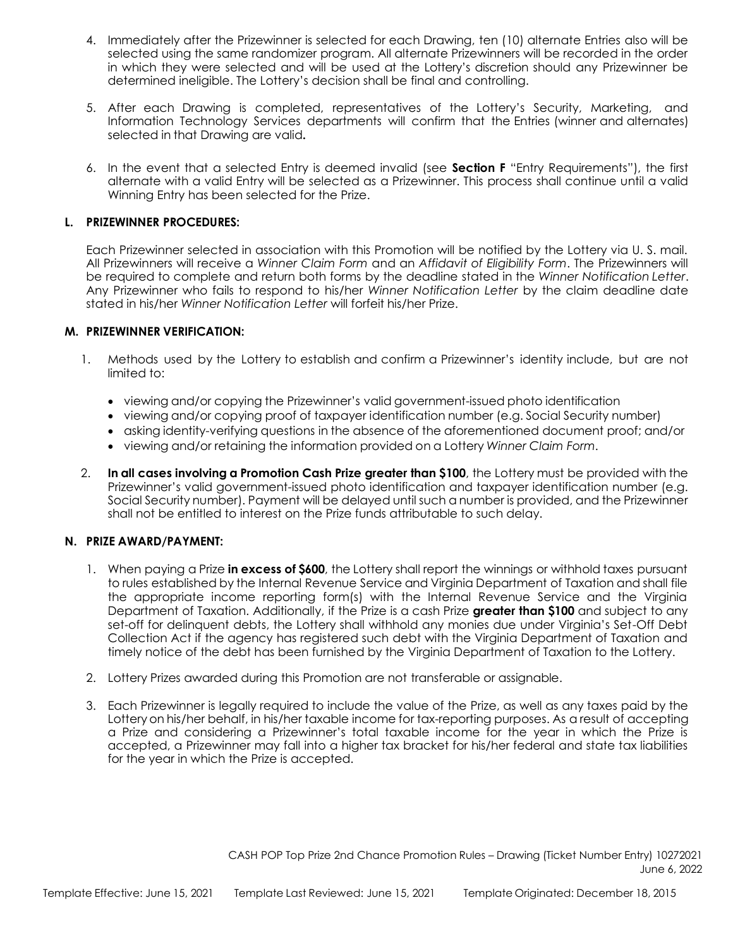- 4. Immediately after the Prizewinner is selected for each Drawing, ten (10) alternate Entries also will be selected using the same randomizer program. All alternate Prizewinners will be recorded in the order in which they were selected and will be used at the Lottery's discretion should any Prizewinner be determined ineligible. The Lottery's decision shall be final and controlling.
- 5. After each Drawing is completed, representatives of the Lottery's Security, Marketing, and Information Technology Services departments will confirm that the Entries (winner and alternates) selected in that Drawing are valid**.**
- 6. In the event that a selected Entry is deemed invalid (see **Section F** "Entry Requirements"), the first alternate with a valid Entry will be selected as a Prizewinner. This process shall continue until a valid Winning Entry has been selected for the Prize.

### **L. PRIZEWINNER PROCEDURES:**

Each Prizewinner selected in association with this Promotion will be notified by the Lottery via U. S. mail. All Prizewinners will receive a *Winner Claim Form* and an *Affidavit of Eligibility Form*. The Prizewinners will be required to complete and return both forms by the deadline stated in the *Winner Notification Letter*. Any Prizewinner who fails to respond to his/her *Winner Notification Letter* by the claim deadline date stated in his/her *Winner Notification Letter* will forfeit his/her Prize.

## **M. PRIZEWINNER VERIFICATION:**

- 1. Methods used by the Lottery to establish and confirm a Prizewinner's identity include, but are not limited to:
	- viewing and/or copying the Prizewinner's valid government-issued photo identification
	- viewing and/or copying proof of taxpayer identification number (e.g. Social Security number)
	- asking identity-verifying questions in the absence of the aforementioned document proof; and/or
	- viewing and/or retaining the information provided on a Lottery *Winner Claim Form*.
- 2. **In all cases involving a Promotion Cash Prize greater than \$100**, the Lottery must be provided with the Prizewinner's valid government-issued photo identification and taxpayer identification number (e.g. Social Security number). Payment will be delayed until such a number is provided, and the Prizewinner shall not be entitled to interest on the Prize funds attributable to such delay.

#### **N. PRIZE AWARD/PAYMENT:**

- 1. When paying a Prize **in excess of \$600**, the Lottery shall report the winnings or withhold taxes pursuant to rules established by the Internal Revenue Service and Virginia Department of Taxation and shall file the appropriate income reporting form(s) with the Internal Revenue Service and the Virginia Department of Taxation. Additionally, if the Prize is a cash Prize **greater than \$100** and subject to any set-off for delinquent debts, the Lottery shall withhold any monies due under Virginia's Set-Off Debt Collection Act if the agency has registered such debt with the Virginia Department of Taxation and timely notice of the debt has been furnished by the Virginia Department of Taxation to the Lottery.
- 2. Lottery Prizes awarded during this Promotion are not transferable or assignable.
- 3. Each Prizewinner is legally required to include the value of the Prize, as well as any taxes paid by the Lottery on his/her behalf, in his/her taxable income for tax-reporting purposes. As a result of accepting a Prize and considering a Prizewinner's total taxable income for the year in which the Prize is accepted, a Prizewinner may fall into a higher tax bracket for his/her federal and state tax liabilities for the year in which the Prize is accepted.